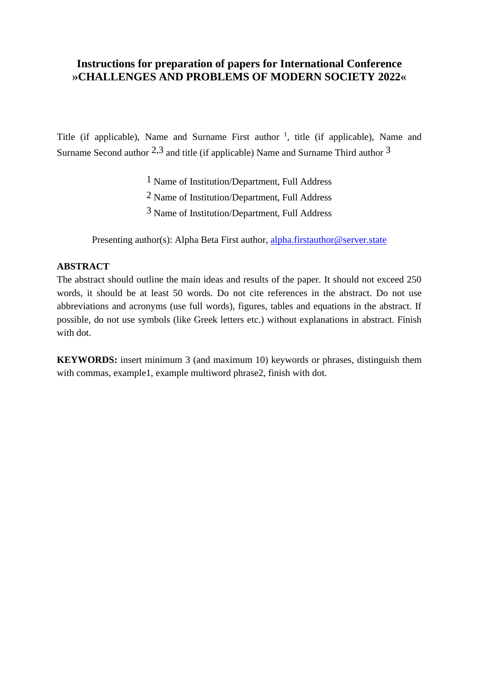# **Instructions for preparation of papers for International Conference »CHALLENGES AND PROBLEMS OF MODERN SOCIETY 2022«**

Title (if applicable), Name and Surname First author  $\frac{1}{1}$ , title (if applicable), Name and Surname Second author  $2.3$  and title (if applicable) Name and Surname Third author  $3$ 

1 Name of Institution/Department, Full Address

2 Name of Institution/Department, Full Address

3 Name of Institution/Department, Full Address

Presenting author(s): Alpha Beta First author, [alpha.firstauthor@server.state](mailto:alpha.firstauthor@server.state)

## **ABSTRACT**

The abstract should outline the main ideas and results of the paper. It should not exceed 250 words, it should be at least 50 words. Do not cite references in the abstract. Do not use abbreviations and acronyms (use full words), figures, tables and equations in the abstract. If possible, do not use symbols (like Greek letters etc.) without explanations in abstract. Finish with dot.

**KEYWORDS:** insert minimum 3 (and maximum 10) keywords or phrases, distinguish them with commas, example1, example multiword phrase2, finish with dot.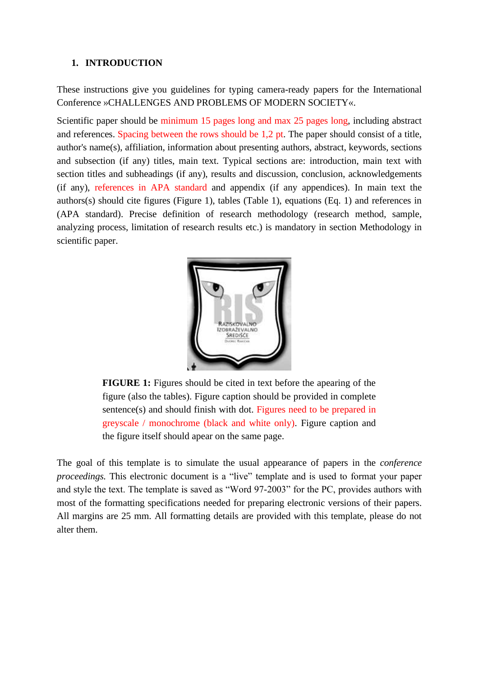#### **1. INTRODUCTION**

These instructions give you guidelines for typing camera-ready papers for the International Conference »CHALLENGES AND PROBLEMS OF MODERN SOCIETY«.

Scientific paper should be minimum 15 pages long and max 25 pages long, including abstract and references. Spacing between the rows should be 1,2 pt. The paper should consist of a title, author's name(s), affiliation, information about presenting authors, abstract, keywords, sections and subsection (if any) titles, main text. Typical sections are: introduction, main text with section titles and subheadings (if any), results and discussion, conclusion, acknowledgements (if any), references in APA standard and appendix (if any appendices). In main text the authors(s) should cite figures (Figure 1), tables (Table 1), equations (Eq. 1) and references in (APA standard). Precise definition of research methodology (research method, sample, analyzing process, limitation of research results etc.) is mandatory in section Methodology in scientific paper.



**FIGURE 1:** Figures should be cited in text before the apearing of the figure (also the tables). Figure caption should be provided in complete sentence(s) and should finish with dot. Figures need to be prepared in greyscale / monochrome (black and white only). Figure caption and the figure itself should apear on the same page.

The goal of this template is to simulate the usual appearance of papers in the *conference proceedings*. This electronic document is a "live" template and is used to format your paper and style the text. The template is saved as "Word 97-2003" for the PC, provides authors with most of the formatting specifications needed for preparing electronic versions of their papers. All margins are 25 mm. All formatting details are provided with this template, please do not alter them.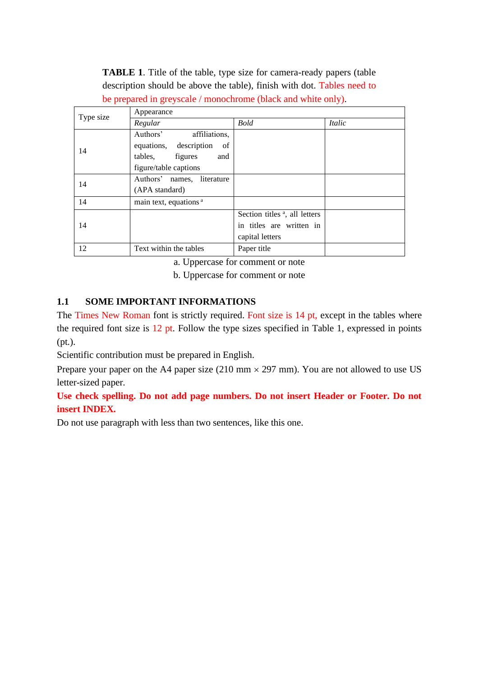**TABLE 1**. Title of the table, type size for camera-ready papers (table description should be above the table), finish with dot. Tables need to be prepared in greyscale / monochrome (black and white only).

| Type size | Appearance                        |                                           |        |
|-----------|-----------------------------------|-------------------------------------------|--------|
|           | Regular                           | <b>Bold</b>                               | Italic |
| 14        | Authors'<br>affiliations,         |                                           |        |
|           | equations, description<br>of      |                                           |        |
|           | figures<br>tables,<br>and         |                                           |        |
|           | figure/table captions             |                                           |        |
| 14        | Authors' names, literature        |                                           |        |
|           | (APA standard)                    |                                           |        |
| 14        | main text, equations <sup>a</sup> |                                           |        |
| 14        |                                   | Section titles <sup>a</sup> , all letters |        |
|           |                                   | in titles are written in                  |        |
|           |                                   | capital letters                           |        |
| 12        | Text within the tables            | Paper title                               |        |

a. Uppercase for comment or note

b. Uppercase for comment or note

## **1.1 SOME IMPORTANT INFORMATIONS**

The Times New Roman font is strictly required. Font size is 14 pt, except in the tables where the required font size is 12 pt. Follow the type sizes specified in Table 1, expressed in points (pt.).

Scientific contribution must be prepared in English.

Prepare your paper on the A4 paper size (210 mm  $\times$  297 mm). You are not allowed to use US letter-sized paper.

**Use check spelling. Do not add page numbers. Do not insert Header or Footer. Do not insert INDEX.**

Do not use paragraph with less than two sentences, like this one.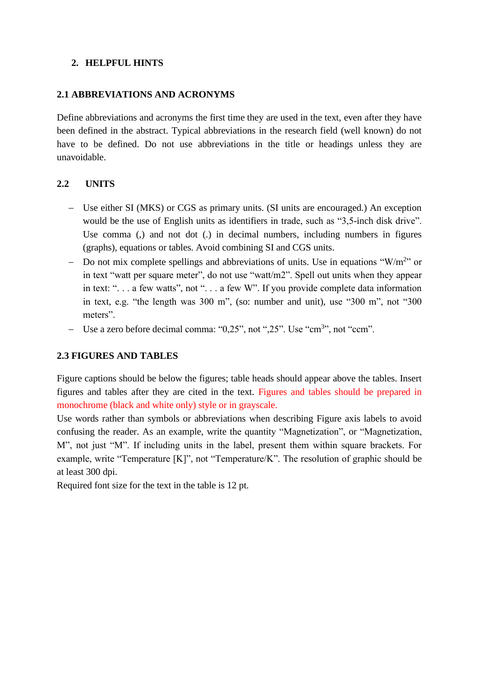## **2. HELPFUL HINTS**

## **2.1 ABBREVIATIONS AND ACRONYMS**

Define abbreviations and acronyms the first time they are used in the text, even after they have been defined in the abstract. Typical abbreviations in the research field (well known) do not have to be defined. Do not use abbreviations in the title or headings unless they are unavoidable.

## **2.2 UNITS**

- − Use either SI (MKS) or CGS as primary units. (SI units are encouraged.) An exception would be the use of English units as identifiers in trade, such as "3,5-inch disk drive". Use comma (,) and not dot (.) in decimal numbers, including numbers in figures (graphs), equations or tables. Avoid combining SI and CGS units.
- − Do not mix complete spellings and abbreviations of units. Use in equations "W/m<sup>2</sup>" or in text "watt per square meter", do not use "watt/m2". Spell out units when they appear in text: ". . . a few watts", not ". . . a few W". If you provide complete data information in text, e.g. "the length was 300 m", (so: number and unit), use "300 m", not "300 meters".
- − Use a zero before decimal comma: "0,25", not ",25". Use "cm<sup>3</sup>", not "ccm".

## **2.3 FIGURES AND TABLES**

Figure captions should be below the figures; table heads should appear above the tables. Insert figures and tables after they are cited in the text. Figures and tables should be prepared in monochrome (black and white only) style or in grayscale.

Use words rather than symbols or abbreviations when describing Figure axis labels to avoid confusing the reader. As an example, write the quantity "Magnetization", or "Magnetization, M", not just "M". If including units in the label, present them within square brackets. For example, write "Temperature [K]", not "Temperature/K". The resolution of graphic should be at least 300 dpi.

Required font size for the text in the table is 12 pt.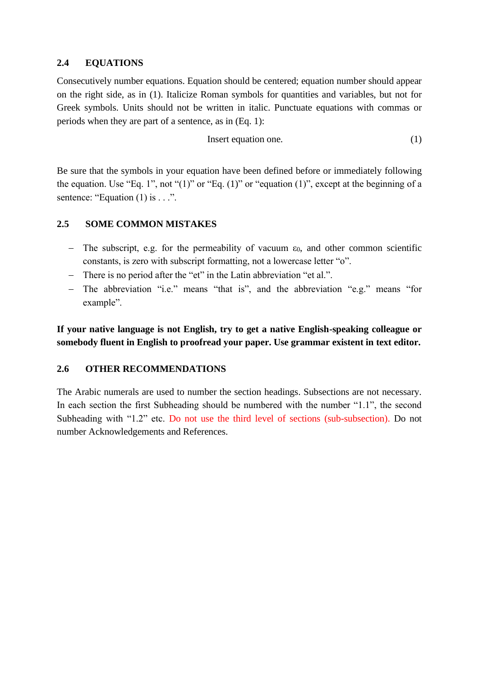### **2.4 EQUATIONS**

Consecutively number equations. Equation should be centered; equation number should appear on the right side, as in (1). Italicize Roman symbols for quantities and variables, but not for Greek symbols. Units should not be written in italic. Punctuate equations with commas or periods when they are part of a sentence, as in (Eq. 1):

$$
Insert equation one. \t(1)
$$

Be sure that the symbols in your equation have been defined before or immediately following the equation. Use "Eq. 1", not " $(1)$ " or "Eq.  $(1)$ " or "equation  $(1)$ ", except at the beginning of a sentence: "Equation  $(1)$  is  $\dots$ ".

### **2.5 SOME COMMON MISTAKES**

- $-$  The subscript, e.g. for the permeability of vacuum  $\varepsilon_0$ , and other common scientific constants, is zero with subscript formatting, not a lowercase letter "o".
- − There is no period after the "et" in the Latin abbreviation "et al.".
- The abbreviation "i.e." means "that is", and the abbreviation "e.g." means "for example".

**If your native language is not English, try to get a native English-speaking colleague or somebody fluent in English to proofread your paper. Use grammar existent in text editor.**

### **2.6 OTHER RECOMMENDATIONS**

The Arabic numerals are used to number the section headings. Subsections are not necessary. In each section the first Subheading should be numbered with the number "1.1", the second Subheading with "1.2" etc. Do not use the third level of sections (sub-subsection). Do not number Acknowledgements and References.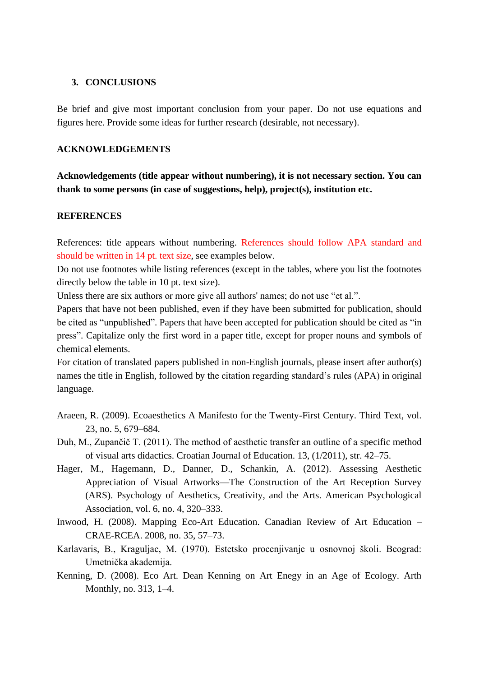#### **3. CONCLUSIONS**

Be brief and give most important conclusion from your paper. Do not use equations and figures here. Provide some ideas for further research (desirable, not necessary).

#### **ACKNOWLEDGEMENTS**

**Acknowledgements (title appear without numbering), it is not necessary section. You can thank to some persons (in case of suggestions, help), project(s), institution etc.**

#### **REFERENCES**

References: title appears without numbering. References should follow APA standard and should be written in 14 pt. text size, see examples below.

Do not use footnotes while listing references (except in the tables, where you list the footnotes directly below the table in 10 pt. text size).

Unless there are six authors or more give all authors' names; do not use "et al.".

Papers that have not been published, even if they have been submitted for publication, should be cited as "unpublished". Papers that have been accepted for publication should be cited as "in press". Capitalize only the first word in a paper title, except for proper nouns and symbols of chemical elements.

For citation of translated papers published in non-English journals, please insert after author(s) names the title in English, followed by the citation regarding standard's rules (APA) in original language.

- Araeen, R. (2009). Ecoaesthetics A Manifesto for the Twenty-First Century. Third Text, vol. 23, no. 5, 679–684.
- Duh, M., Zupančič T. (2011). The method of aesthetic transfer an outline of a specific method of visual arts didactics. Croatian Journal of Education. 13, (1/2011), str. 42–75.
- Hager, M., Hagemann, D., Danner, D., Schankin, A. (2012). Assessing Aesthetic Appreciation of Visual Artworks—The Construction of the Art Reception Survey (ARS). Psychology of Aesthetics, Creativity, and the Arts. American Psychological Association, vol. 6, no. 4, 320–333.
- Inwood, H. (2008). Mapping Eco-Art Education. Canadian Review of Art Education CRAE-RCEA. 2008, no. 35, 57–73.
- Karlavaris, B., Kraguljac, M. (1970). Estetsko procenjivanje u osnovnoj školi. Beograd: Umetnička akademija.
- Kenning, D. (2008). Eco Art. Dean Kenning on Art Enegy in an Age of Ecology. Arth Monthly, no. 313, 1–4.